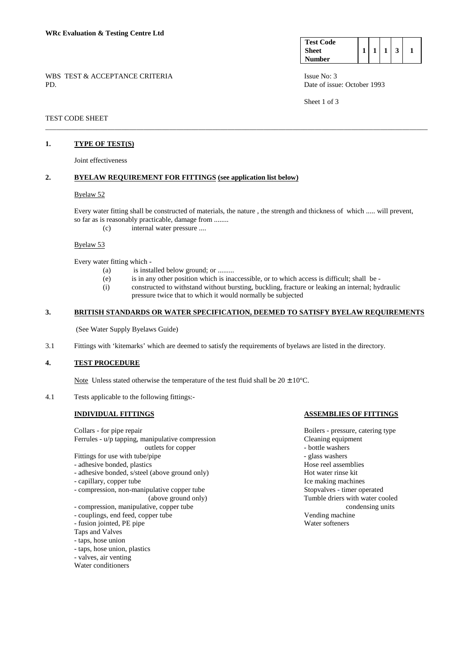**Test Code Sheet Number**   $1 \mid 1 \mid 1 \mid 3 \mid 1$ 

WBS TEST & ACCEPTANCE CRITERIA ISSUE No: 3 PD. Date of issue: October 1993

Sheet 1 of 3

TEST CODE SHEET

## **1. TYPE OF TEST(S)**

Joint effectiveness

## **2. BYELAW REQUIREMENT FOR FITTINGS (see application list below)**

#### Byelaw 52

Every water fitting shall be constructed of materials, the nature , the strength and thickness of which ..... will prevent, so far as is reasonably practicable, damage from ........

\_\_\_\_\_\_\_\_\_\_\_\_\_\_\_\_\_\_\_\_\_\_\_\_\_\_\_\_\_\_\_\_\_\_\_\_\_\_\_\_\_\_\_\_\_\_\_\_\_\_\_\_\_\_\_\_\_\_\_\_\_\_\_\_\_\_\_\_\_\_\_\_\_\_\_\_\_\_\_\_\_\_\_\_\_\_\_\_\_\_\_\_\_\_\_\_\_\_\_\_\_\_\_\_\_

(c) internal water pressure ....

#### Byelaw 53

Every water fitting which -

- (a) is installed below ground; or ........
- (e) is in any other position which is inaccessible, or to which access is difficult; shall be -
- (i) constructed to withstand without bursting, buckling, fracture or leaking an internal; hydraulic pressure twice that to which it would normally be subjected

## **3. BRITISH STANDARDS OR WATER SPECIFICATION, DEEMED TO SATISFY BYELAW REQUIREMENTS**

(See Water Supply Byelaws Guide)

3.1 Fittings with 'kitemarks' which are deemed to satisfy the requirements of byelaws are listed in the directory.

# **4. TEST PROCEDURE**

Note Unless stated otherwise the temperature of the test fluid shall be  $20 \pm 10^{\circ}$ C.

4.1 Tests applicable to the following fittings:-

Collars - for pipe repair **Boilers - pressure, catering type** Ferrules - u/p tapping, manipulative compression Cleaning equipment outlets for copper - bottle washers Fittings for use with tube/pipe  $\overline{\phantom{a}}$  - glass washers - adhesive bonded, plastics **Hose reel assemblies** - adhesive bonded, s/steel (above ground only) Hot water rinse kit - capillary, copper tube Ice making machines - compression, non-manipulative copper tube Stopvalves - timer operated

- 
- compression, manipulative, copper tube condensing units
- couplings, end feed, copper tube Vending machine
- fusion jointed, PE pipe Water softeners
- Taps and Valves
- taps, hose union
- taps, hose union, plastics
- valves, air venting
- Water conditioners

#### **INDIVIDUAL FITTINGS ASSEMBLIES OF FITTINGS**

(above ground only) Tumble driers with water cooled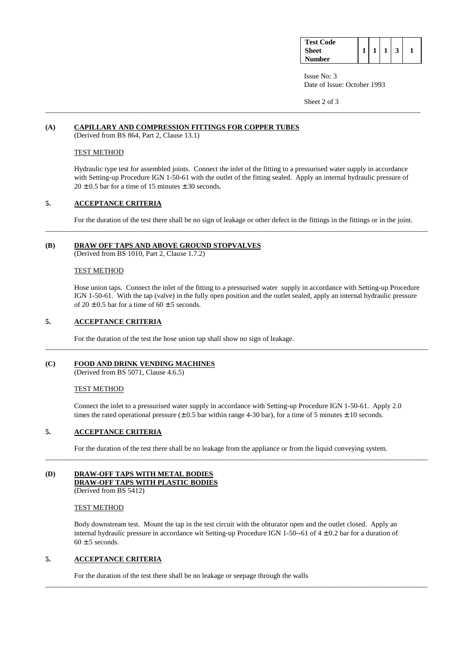| <b>Test Code</b> |  |  |  |
|------------------|--|--|--|
| <b>Sheet</b>     |  |  |  |
| Number           |  |  |  |

 Issue No: 3 Date of Issue: October 1993

Sheet 2 of 3

# **(A) CAPILLARY AND COMPRESSION FITTINGS FOR COPPER TUBES**

(Derived from BS 864, Part 2, Clause 13.1)

# TEST METHOD

 Hydraulic type test for assembled joints. Connect the inlet of the fitting to a pressurised water supply in accordance with Setting-up Procedure IGN 1-50-61 with the outlet of the fitting sealed. Apply an internal hydraulic pressure of  $20 \pm 0.5$  bar for a time of 15 minutes  $\pm$  30 seconds.

\_\_\_\_\_\_\_\_\_\_\_\_\_\_\_\_\_\_\_\_\_\_\_\_\_\_\_\_\_\_\_\_\_\_\_\_\_\_\_\_\_\_\_\_\_\_\_\_\_\_\_\_\_\_\_\_\_\_\_\_\_\_\_\_\_\_\_\_\_\_\_\_\_\_\_\_\_\_\_\_\_\_\_\_\_\_\_\_\_\_\_\_\_\_\_\_\_\_\_\_\_\_\_

## **5. ACCEPTANCE CRITERIA**

For the duration of the test there shall be no sign of leakage or other defect in the fittings in the fittings or in the joint.

\_\_\_\_\_\_\_\_\_\_\_\_\_\_\_\_\_\_\_\_\_\_\_\_\_\_\_\_\_\_\_\_\_\_\_\_\_\_\_\_\_\_\_\_\_\_\_\_\_\_\_\_\_\_\_\_\_\_\_\_\_\_\_\_\_\_\_\_\_\_\_\_\_\_\_\_\_\_\_\_\_\_\_\_\_\_\_\_\_\_\_\_\_\_\_\_\_\_\_\_\_\_\_\_\_

## **(B) DRAW OFF TAPS AND ABOVE GROUND STOPVALVES**

(Derived from BS 1010, Part 2, Clause 1.7.2)

## TEST METHOD

 Hose union taps. Connect the inlet of the fitting to a pressurised water supply in accordance with Setting-up Procedure IGN 1-50-61. With the tap (valve) in the fully open position and the outlet sealed, apply an internal hydraulic pressure of  $20 \pm 0.5$  bar for a time of  $60 \pm 5$  seconds.

# **5. ACCEPTANCE CRITERIA**

For the duration of the test the hose union tap shall show no sign of leakage.

## **(C) FOOD AND DRINK VENDING MACHINES**

(Derived from BS 5071, Clause 4.6.5)

## TEST METHOD

 Connect the inlet to a pressurised water supply in accordance with Setting-up Procedure IGN 1-50-61. Apply 2.0 times the rated operational pressure  $(\pm 0.5$  bar within range 4-30 bar), for a time of 5 minutes  $\pm 10$  seconds.

\_\_\_\_\_\_\_\_\_\_\_\_\_\_\_\_\_\_\_\_\_\_\_\_\_\_\_\_\_\_\_\_\_\_\_\_\_\_\_\_\_\_\_\_\_\_\_\_\_\_\_\_\_\_\_\_\_\_\_\_\_\_\_\_\_\_\_\_\_\_\_\_\_\_\_\_\_\_\_\_\_\_\_\_\_\_\_\_\_\_\_\_\_\_\_\_\_\_\_\_\_\_\_\_\_

## **5. ACCEPTANCE CRITERIA**

For the duration of the test there shall be no leakage from the appliance or from the liquid conveying system.

\_\_\_\_\_\_\_\_\_\_\_\_\_\_\_\_\_\_\_\_\_\_\_\_\_\_\_\_\_\_\_\_\_\_\_\_\_\_\_\_\_\_\_\_\_\_\_\_\_\_\_\_\_\_\_\_\_\_\_\_\_\_\_\_\_\_\_\_\_\_\_\_\_\_\_\_\_\_\_\_\_\_\_\_\_\_\_\_\_\_\_\_\_\_\_\_\_\_\_\_\_\_\_\_\_

## **(D) DRAW-OFF TAPS WITH METAL BODIES DRAW-OFF TAPS WITH PLASTIC BODIES**

(Derived from BS 5412)

## TEST METHOD

 Body downstream test. Mount the tap in the test circuit with the obturator open and the outlet closed. Apply an internal hydraulic pressure in accordance wit Setting-up Procedure IGN 1-50--61 of 4 ± 0.2 bar for a duration of  $60 \pm 5$  seconds.

\_\_\_\_\_\_\_\_\_\_\_\_\_\_\_\_\_\_\_\_\_\_\_\_\_\_\_\_\_\_\_\_\_\_\_\_\_\_\_\_\_\_\_\_\_\_\_\_\_\_\_\_\_\_\_\_\_\_\_\_\_\_\_\_\_\_\_\_\_\_\_\_\_\_\_\_\_\_\_\_\_\_\_\_\_\_\_\_\_\_\_\_\_\_\_\_\_\_\_\_\_\_\_\_\_

# **5. ACCEPTANCE CRITERIA**

For the duration of the test there shall be no leakage or seepage through the walls